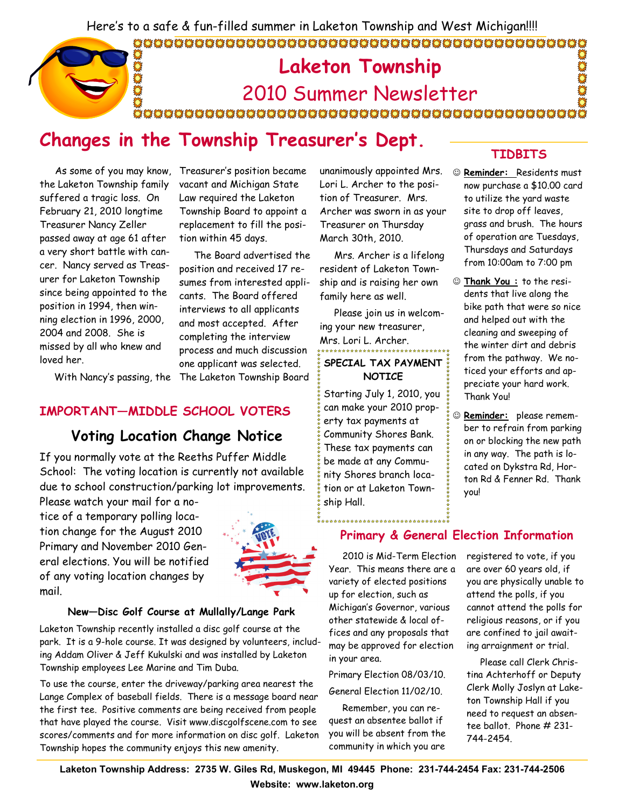Here's to a safe & fun-filled summer in Laketon Township and West Michigan!!!!

#### 

### Laketon Township DESCE  $\sum_{k=1}^{n}$ 2010 Summer Newsletter

## Changes in the Township Treasurer's Dept.

 As some of you may know, Treasurer's position became the Laketon Township family suffered a tragic loss. On February 21, 2010 longtime Treasurer Nancy Zeller passed away at age 61 after a very short battle with cancer. Nancy served as Treasurer for Laketon Township since being appointed to the position in 1994, then winning election in 1996, 2000, 2004 and 2008. She is missed by all who knew and loved her.

vacant and Michigan State Law required the Laketon Township Board to appoint a replacement to fill the position within 45 days.

 With Nancy's passing, the The Laketon Township Board The Board advertised the position and received 17 resumes from interested applicants. The Board offered interviews to all applicants and most accepted. After completing the interview process and much discussion one applicant was selected.

#### IMPORTANT—MIDDLE SCHOOL VOTERS

### Voting Location Change Notice

If you normally vote at the Reeths Puffer Middle School: The voting location is currently not available due to school construction/parking lot improvements. Please watch your mail for a no-

tice of a temporary polling location change for the August 2010 Primary and November 2010 General elections. You will be notified of any voting location changes by mail.



#### New—Disc Golf Course at Mullally/Lange Park

Laketon Township recently installed a disc golf course at the park. It is a 9-hole course. It was designed by volunteers, including Addam Oliver & Jeff Kukulski and was installed by Laketon Township employees Lee Marine and Tim Duba.

To use the course, enter the driveway/parking area nearest the Lange Complex of baseball fields. There is a message board near the first tee. Positive comments are being received from people that have played the course. Visit www.discgolfscene.com to see scores/comments and for more information on disc golf. Laketon Township hopes the community enjoys this new amenity.

unanimously appointed Mrs. Lori L. Archer to the position of Treasurer. Mrs. Archer was sworn in as your Treasurer on Thursday March 30th, 2010.

 Mrs. Archer is a lifelong resident of Laketon Township and is raising her own family here as well.

 Please join us in welcoming your new treasurer, Mrs. Lori L. Archer.<br>\*\*\*\*\*\*\*\*\*\*\*\*\*\*\*\*\*\*\*\*\*\*\*\*\*\*\*\*\*\*\*\*\*\*

#### SPECIAL TAX PAYMENT **NOTICE**

Starting July 1, 2010, you can make your 2010 property tax payments at Community Shores Bank. These tax payments can be made at any Community Shores branch location or at Laketon Township Hall.

...................

#### TIDBITS

- ☺ Reminder: Residents must now purchase a \$10.00 card to utilize the yard waste site to drop off leaves, grass and brush. The hours of operation are Tuesdays, Thursdays and Saturdays from 10:00am to 7:00 pm
- ☺ Thank You : to the residents that live along the bike path that were so nice and helped out with the cleaning and sweeping of the winter dirt and debris from the pathway. We noticed your efforts and appreciate your hard work. Thank You!
- ☺ Reminder: please remember to refrain from parking on or blocking the new path in any way. The path is located on Dykstra Rd, Horton Rd & Fenner Rd. Thank you!

### Primary & General Election Information

 2010 is Mid-Term Election Year. This means there are a variety of elected positions up for election, such as Michigan's Governor, various other statewide & local offices and any proposals that may be approved for election in your area.

Primary Election 08/03/10. General Election 11/02/10.

 Remember, you can request an absentee ballot if you will be absent from the community in which you are

registered to vote, if you are over 60 years old, if you are physically unable to attend the polls, if you cannot attend the polls for religious reasons, or if you are confined to jail awaiting arraignment or trial.

 Please call Clerk Christina Achterhoff or Deputy Clerk Molly Joslyn at Laketon Township Hall if you need to request an absentee ballot. Phone # 231- 744-2454.

Laketon Township Address: 2735 W. Giles Rd, Muskegon, MI 49445 Phone: 231-744-2454 Fax: 231-744-2506 Website: www.laketon.org